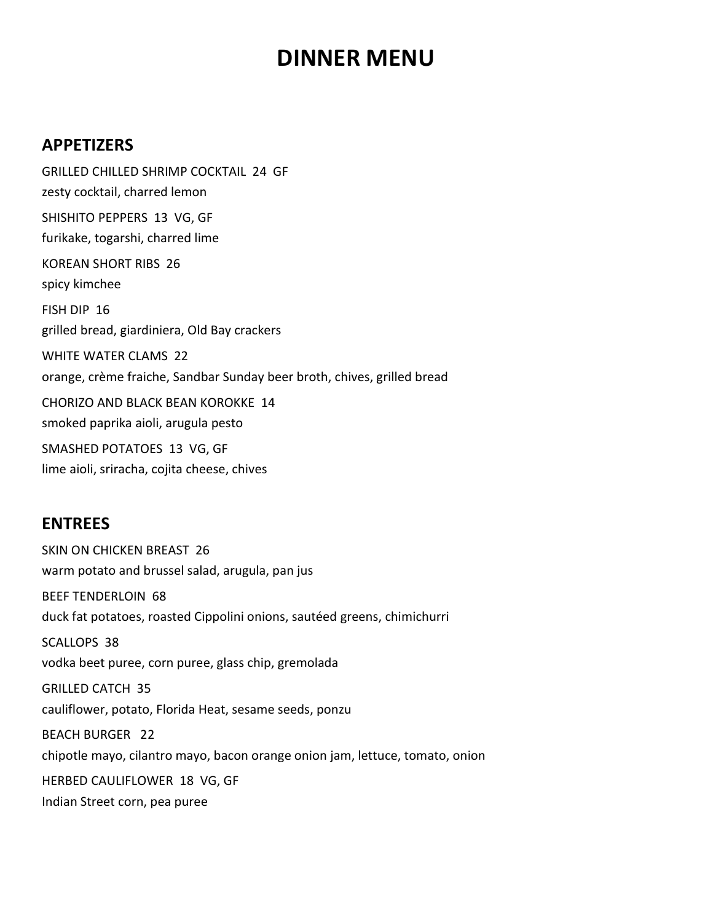# DINNER MENU

#### APPETIZERS

 GRILLED CHILLED SHRIMP COCKTAIL 24 GF zesty cocktail, charred lemon SHISHITO PEPPERS 13 VG, GF furikake, togarshi, charred lime KOREAN SHORT RIBS 26 spicy kimchee FISH DIP 16 grilled bread, giardiniera, Old Bay crackers WHITE WATER CLAMS 22 orange, crème fraiche, Sandbar Sunday beer broth, chives, grilled bread CHORIZO AND BLACK BEAN KOROKKE 14 smoked paprika aioli, arugula pesto SMASHED POTATOES 13 VG, GF lime aioli, sriracha, cojita cheese, chives

### ENTREES

 SKIN ON CHICKEN BREAST 26 warm potato and brussel salad, arugula, pan jus BEEF TENDERLOIN 68 duck fat potatoes, roasted Cippolini onions, sautéed greens, chimichurri SCALLOPS 38 vodka beet puree, corn puree, glass chip, gremolada GRILLED CATCH 35 cauliflower, potato, Florida Heat, sesame seeds, ponzu BEACH BURGER 22 chipotle mayo, cilantro mayo, bacon orange onion jam, lettuce, tomato, onion HERBED CAULIFLOWER 18 VG, GF Indian Street corn, pea puree